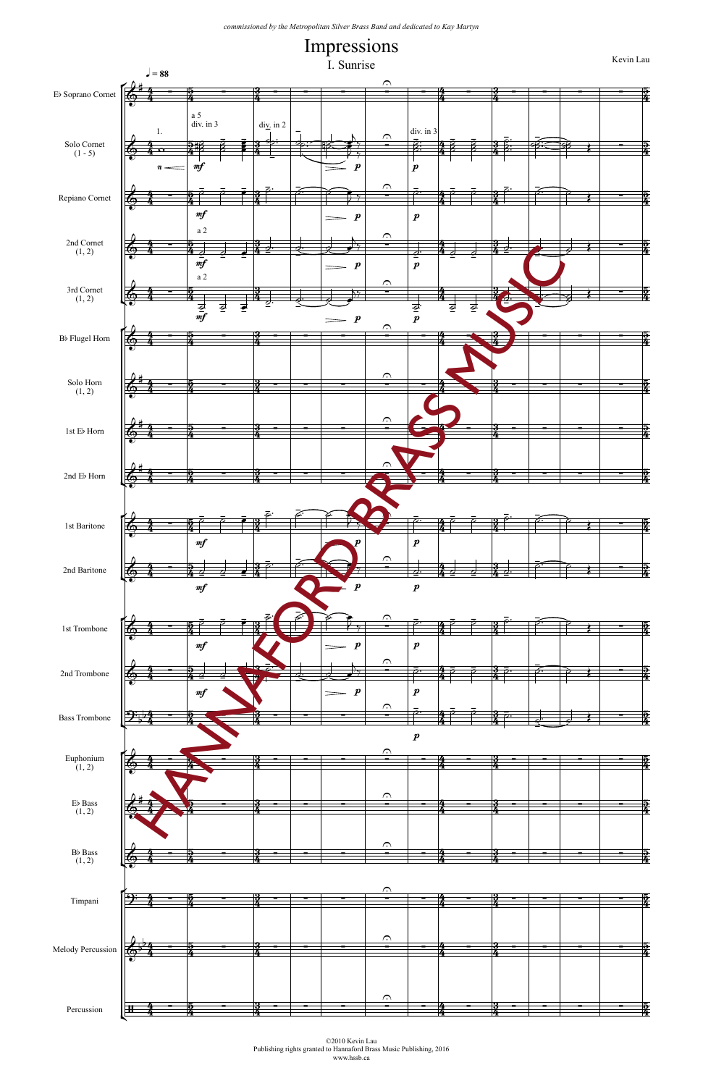

©2010 Kevin Lau Publishing rights granted to Hannaford Brass Music Publishing, 2016 www.hssb.ca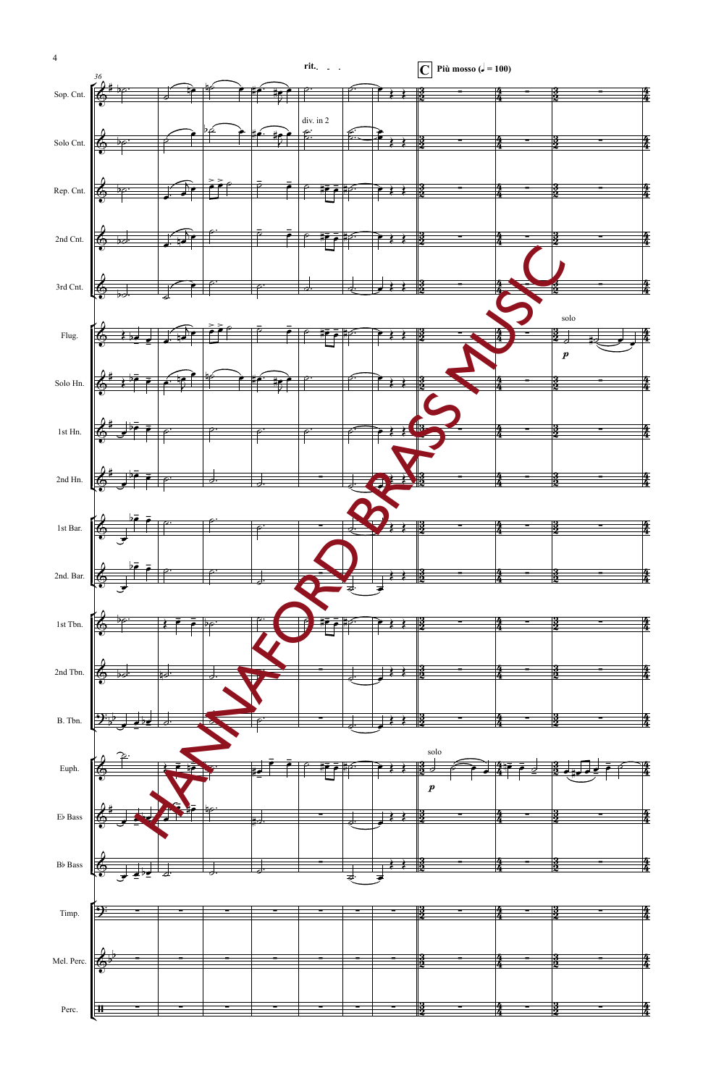

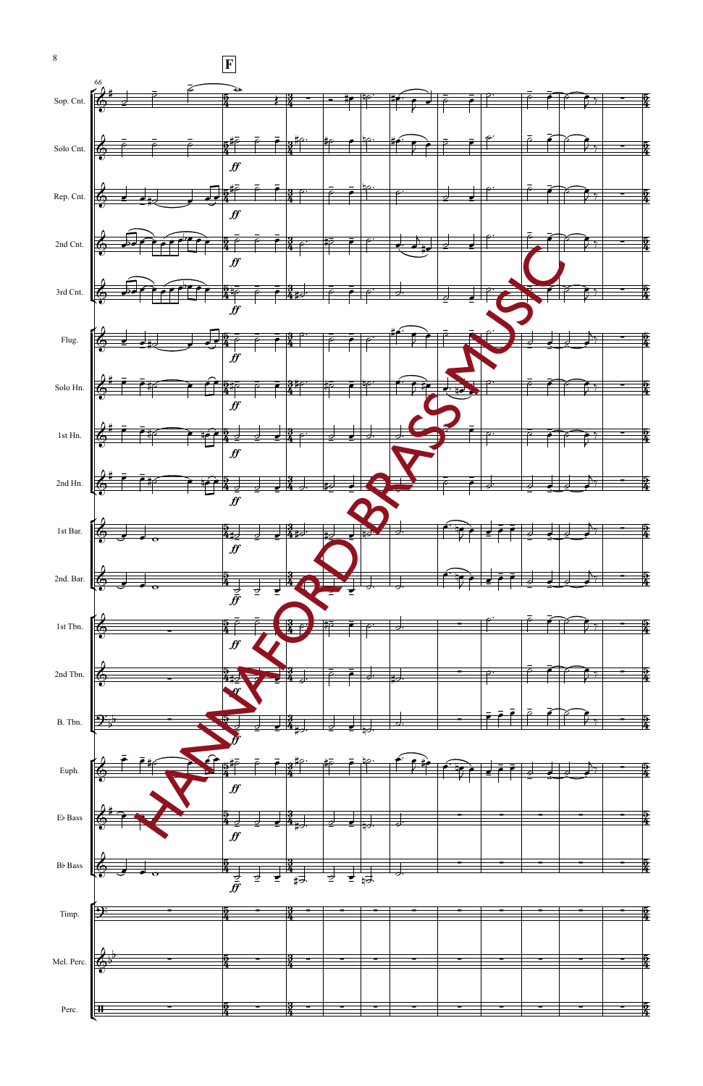

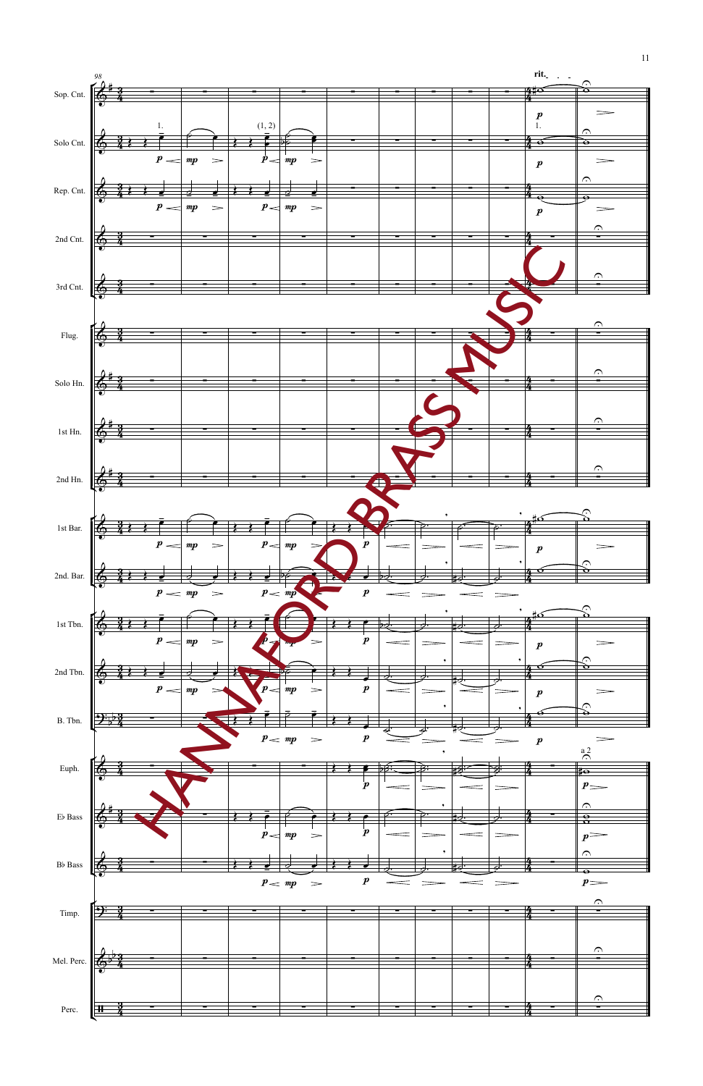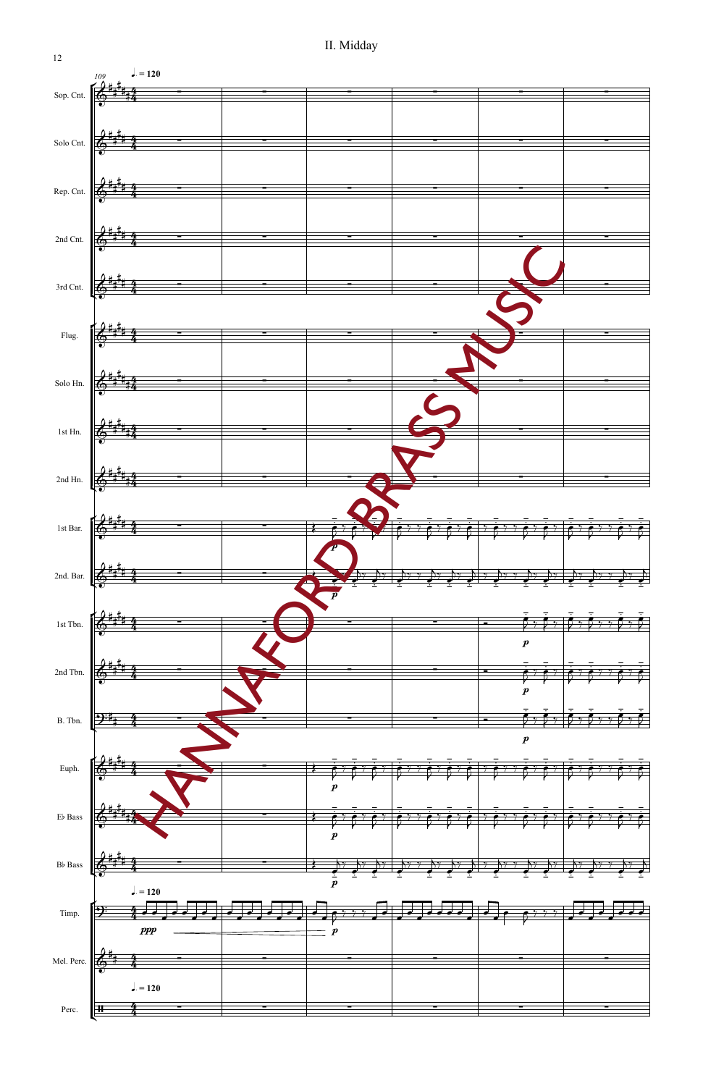![](_page_4_Figure_1.jpeg)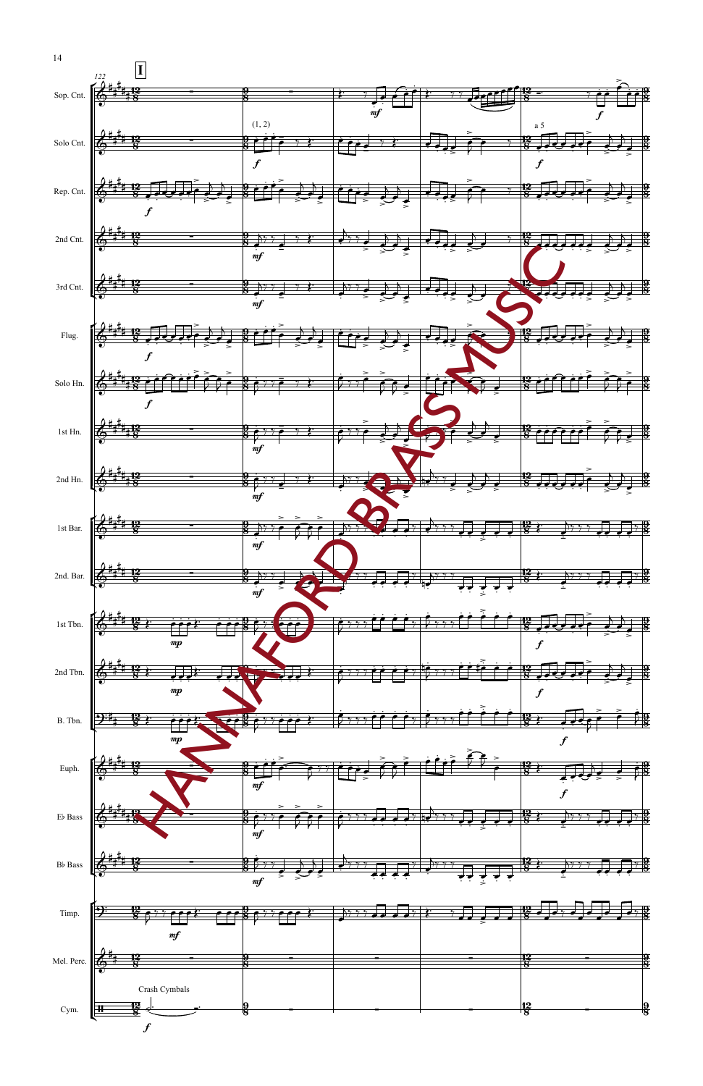![](_page_5_Figure_0.jpeg)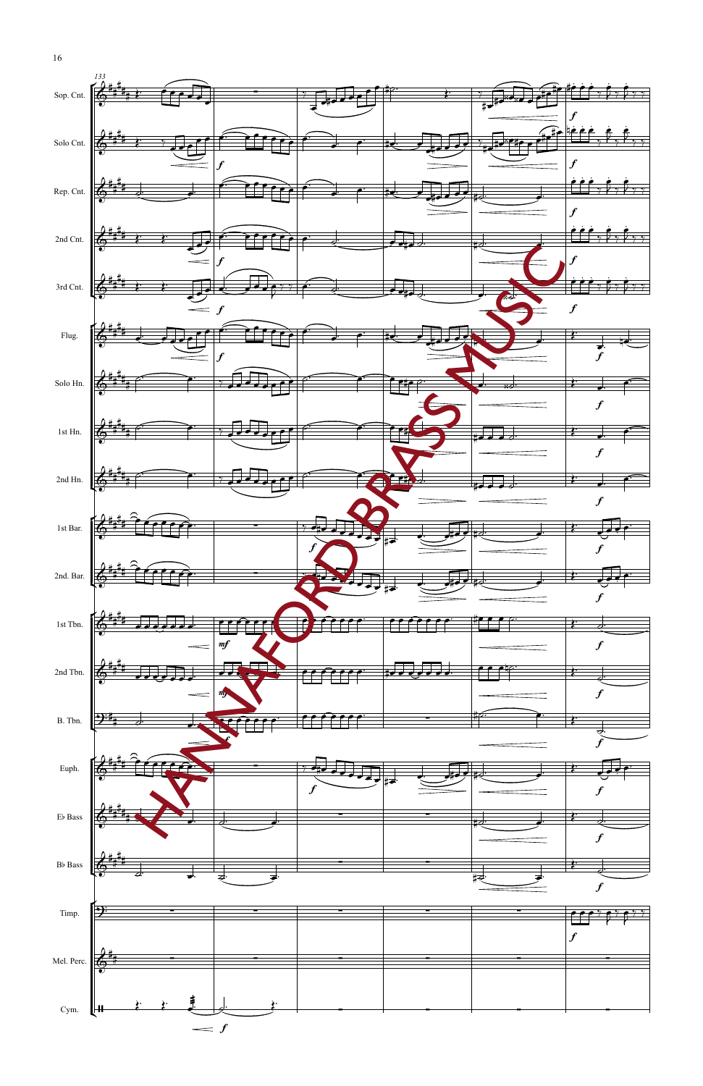![](_page_6_Figure_0.jpeg)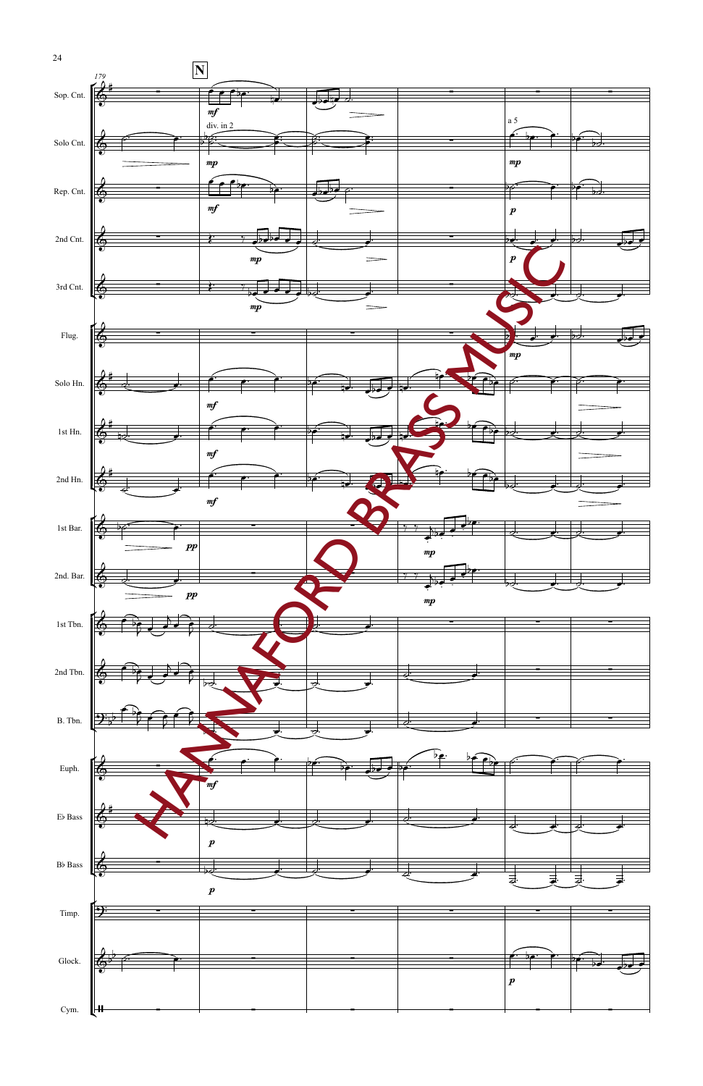![](_page_7_Figure_0.jpeg)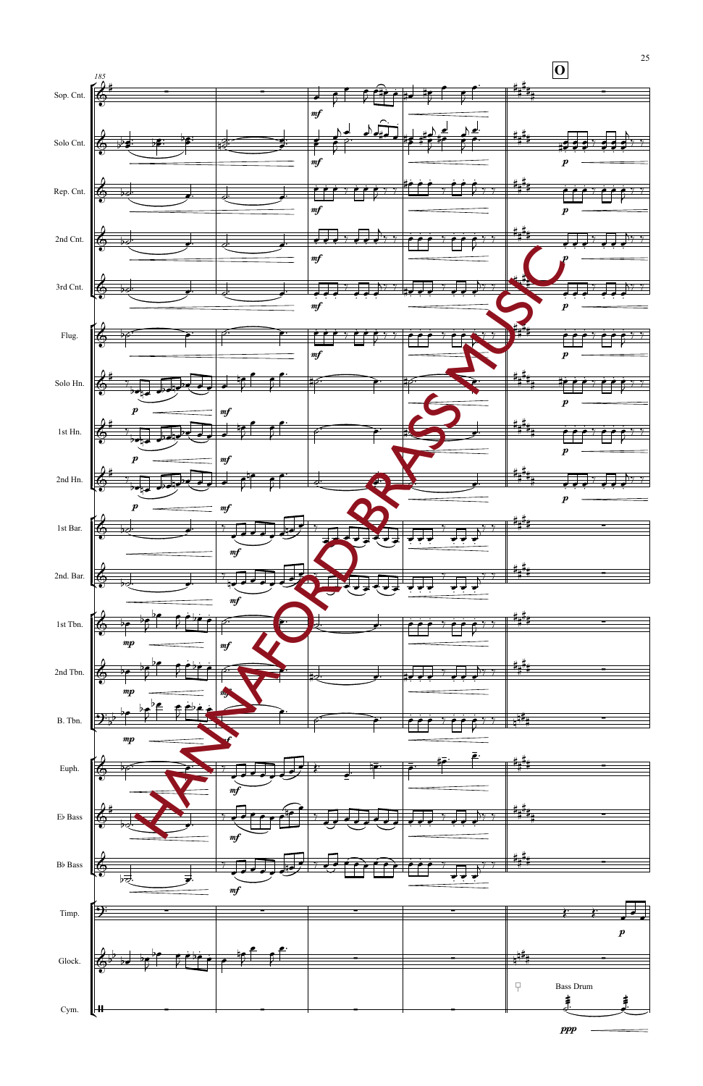![](_page_8_Figure_0.jpeg)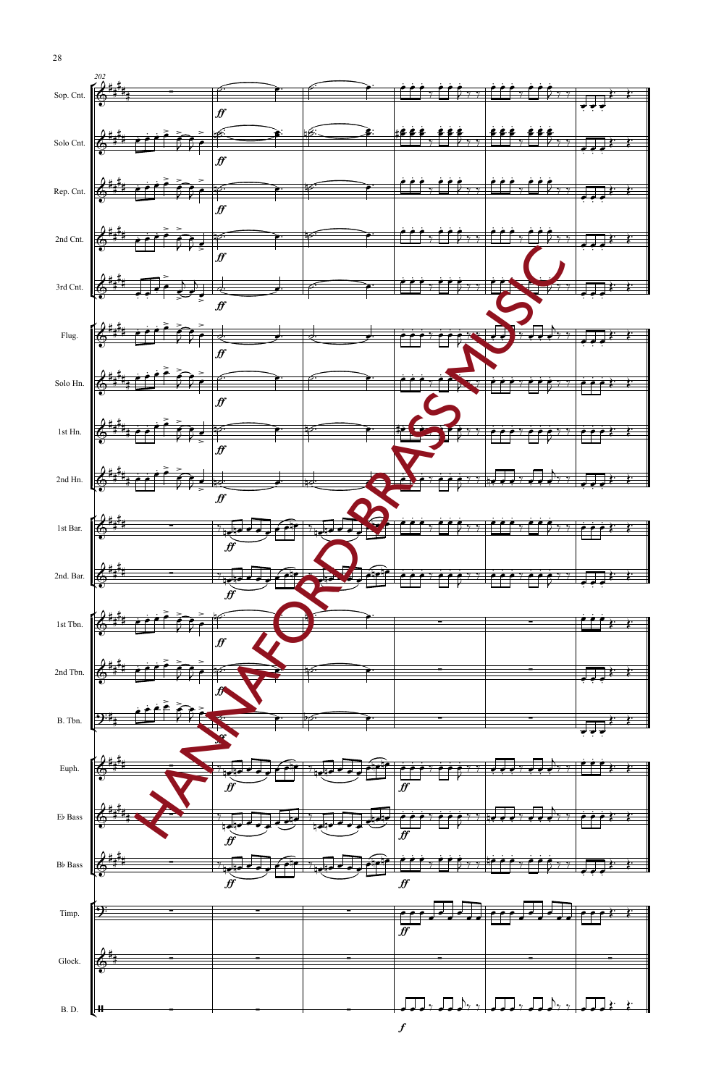![](_page_9_Figure_0.jpeg)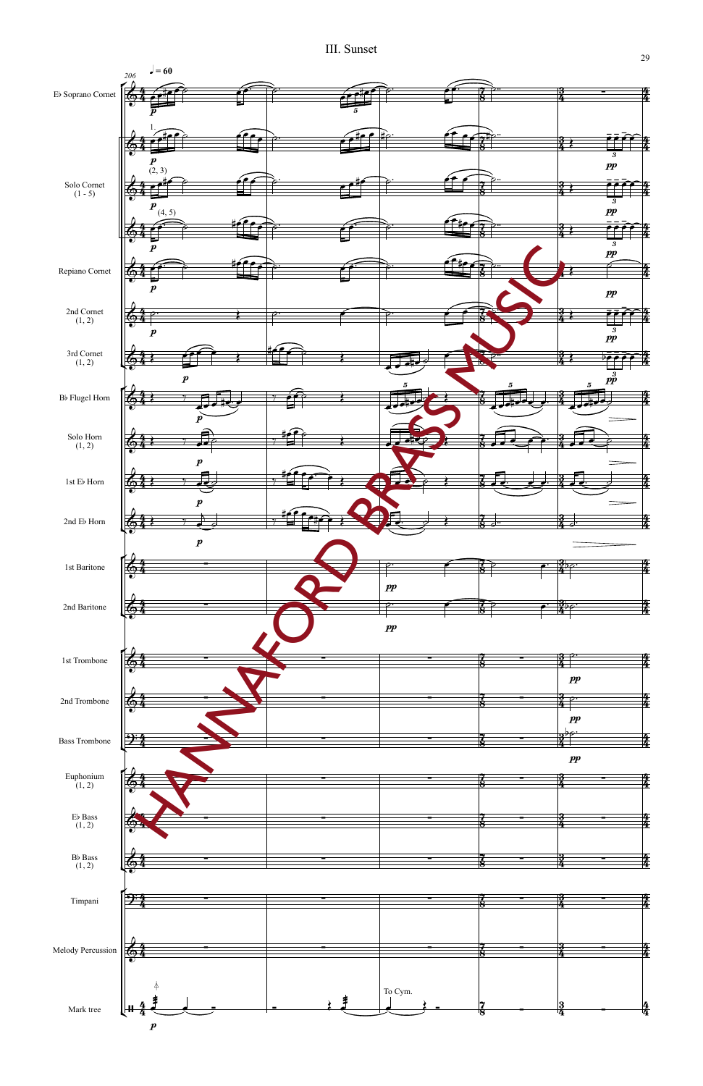![](_page_10_Figure_1.jpeg)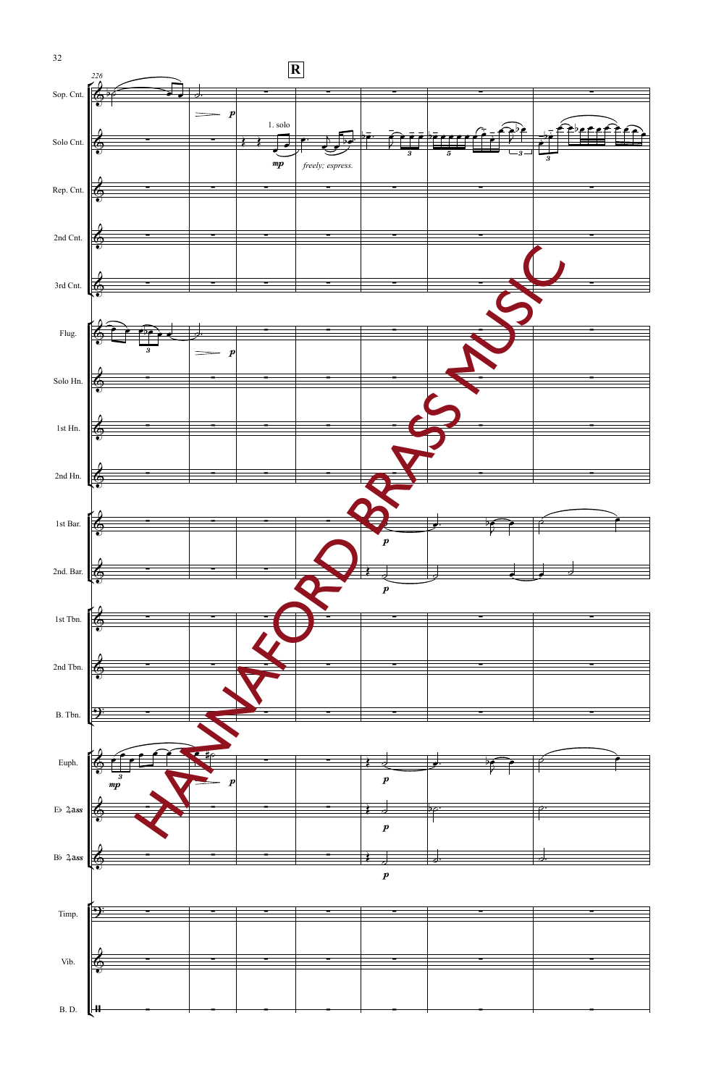![](_page_11_Figure_0.jpeg)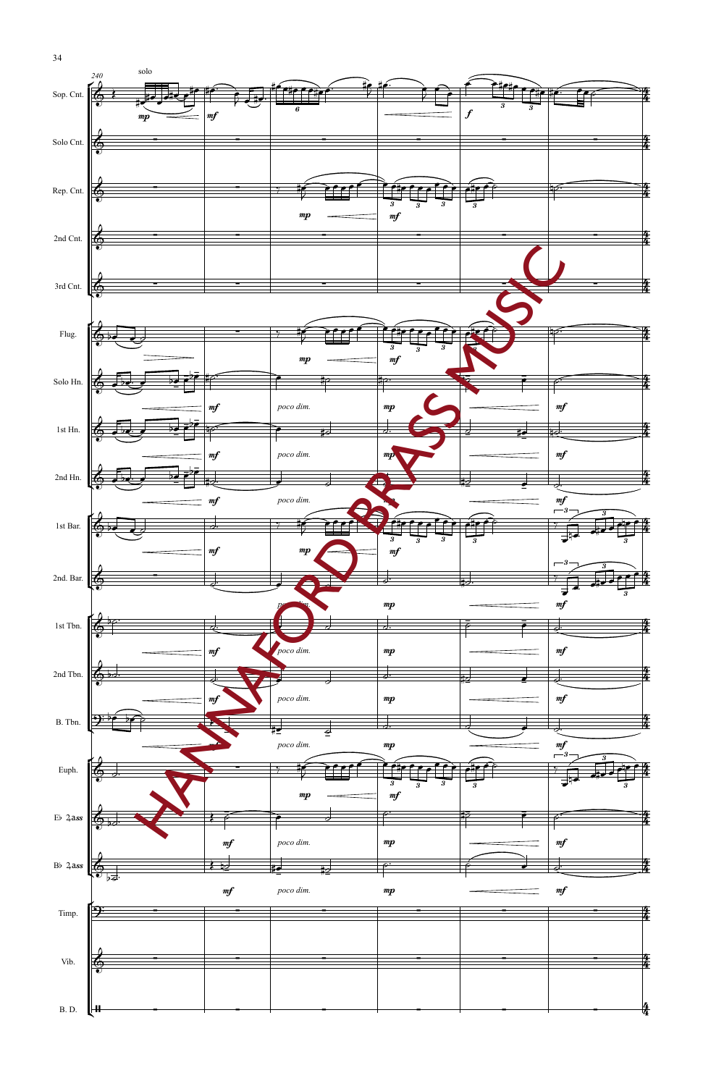![](_page_12_Figure_0.jpeg)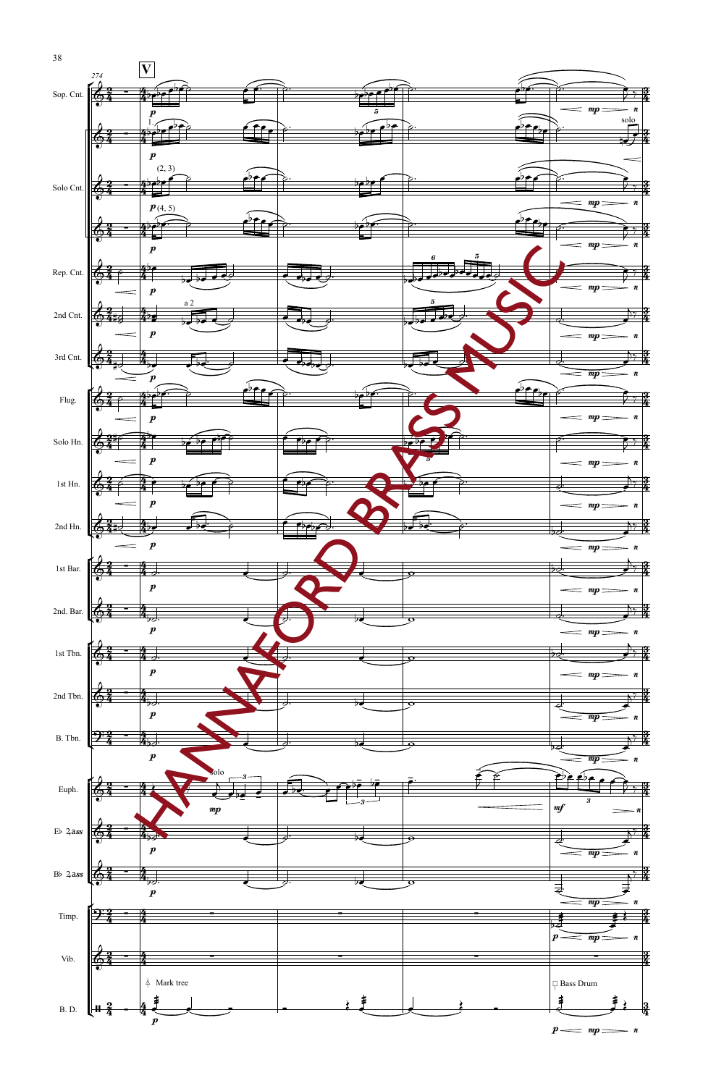![](_page_13_Figure_0.jpeg)